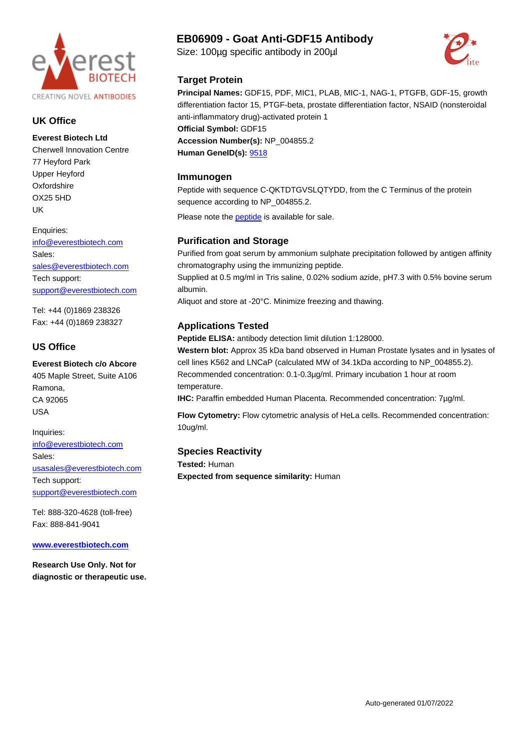

### **UK Office**

**Everest Biotech Ltd** Cherwell Innovation Centre 77 Heyford Park Upper Heyford **Oxfordshire** OX25 5HD UK

Enquiries:

[info@everestbiotech.com](mailto:info@everestbiotech.com) Sales: [sales@everestbiotech.com](mailto:sales@everestbiotech.com) Tech support: [support@everestbiotech.com](mailto:support@everestbiotech.com)

Tel: +44 (0)1869 238326 Fax: +44 (0)1869 238327

### **US Office**

**Everest Biotech c/o Abcore** 405 Maple Street, Suite A106 Ramona, CA 92065 USA

Inquiries: [info@everestbiotech.com](mailto:info@everestbiotech.com) Sales: [usasales@everestbiotech.com](mailto:usasales@everestbiotech.com) Tech support: [support@everestbiotech.com](mailto:support@everestbiotech.com)

Tel: 888-320-4628 (toll-free) Fax: 888-841-9041

**[www.everestbiotech.com](http://www.everestbiotech.com)**

**Research Use Only. Not for diagnostic or therapeutic use.**

# **EB06909 - Goat Anti-GDF15 Antibody**

Size: 100µg specific antibody in 200µl



#### **Target Protein**

**Principal Names:** GDF15, PDF, MIC1, PLAB, MIC-1, NAG-1, PTGFB, GDF-15, growth differentiation factor 15, PTGF-beta, prostate differentiation factor, NSAID (nonsteroidal anti-inflammatory drug)-activated protein 1 **Official Symbol:** GDF15 **Accession Number(s):** NP\_004855.2

**Human GeneID(s):** [9518](http://www.ncbi.nlm.nih.gov/entrez/query.fcgi?db=gene&cmd=Retrieve&dopt=Graphics&list_uids=9518)

#### **Immunogen**

Peptide with sequence C-QKTDTGVSLQTYDD, from the C Terminus of the protein sequence according to NP\_004855.2.

Please note the peptide is available for sale.

## **Purification and Storage**

Purified from goat serum by ammonium sulphate precipitation followed by antigen affinity chromatography using the immunizing peptide.

Supplied at 0.5 mg/ml in Tris saline, 0.02% sodium azide, pH7.3 with 0.5% bovine serum albumin.

Aliquot and store at -20°C. Minimize freezing and thawing.

## **Applications Tested**

**Peptide ELISA:** antibody detection limit dilution 1:128000.

**Western blot:** Approx 35 kDa band observed in Human Prostate lysates and in lysates of cell lines K562 and LNCaP (calculated MW of 34.1kDa according to NP\_004855.2). Recommended concentration: 0.1-0.3µg/ml. Primary incubation 1 hour at room temperature.

**IHC:** Paraffin embedded Human Placenta. Recommended concentration: 7µg/ml.

**Flow Cytometry:** Flow cytometric analysis of HeLa cells. Recommended concentration: 10ug/ml.

## **Species Reactivity**

**Tested:** Human **Expected from sequence similarity:** Human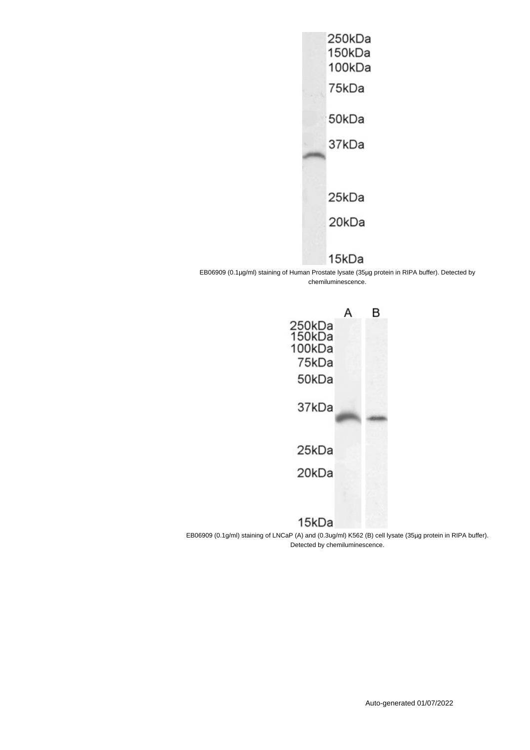

# 15kDa

EB06909 (0.1µg/ml) staining of Human Prostate lysate (35µg protein in RIPA buffer). Detected by chemiluminescence.

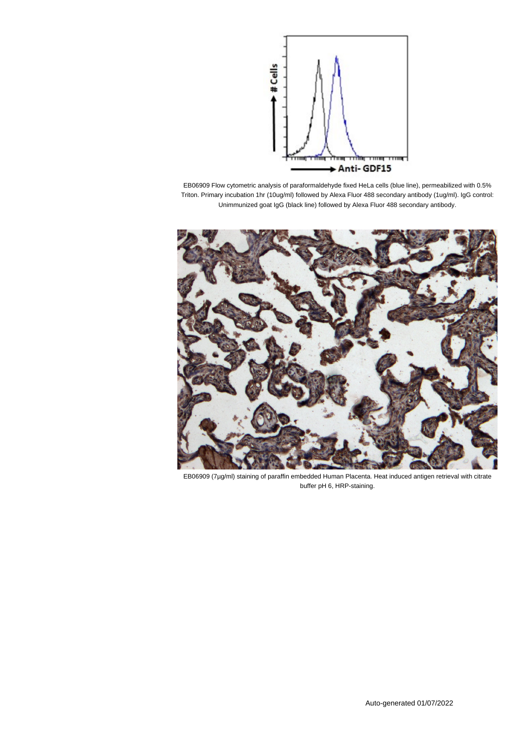

EB06909 Flow cytometric analysis of paraformaldehyde fixed HeLa cells (blue line), permeabilized with 0.5% Triton. Primary incubation 1hr (10ug/ml) followed by Alexa Fluor 488 secondary antibody (1ug/ml). IgG control: Unimmunized goat IgG (black line) followed by Alexa Fluor 488 secondary antibody.



EB06909 (7µg/ml) staining of paraffin embedded Human Placenta. Heat induced antigen retrieval with citrate buffer pH 6, HRP-staining.